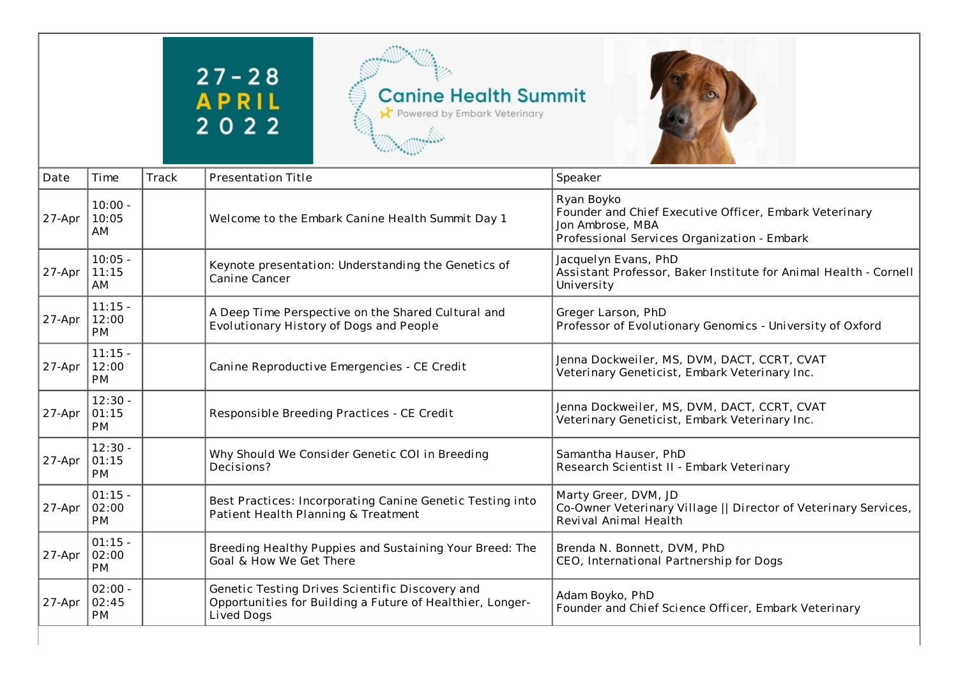## $27 - 28$ **APRIL**<br>2022





| Date   | Time                            | Track | <b>Presentation Title</b>                                                                                                  | Speaker                                                                                                                                 |
|--------|---------------------------------|-------|----------------------------------------------------------------------------------------------------------------------------|-----------------------------------------------------------------------------------------------------------------------------------------|
| 27-Apr | $10:00 -$<br>10:05<br>AM        |       | Welcome to the Embark Canine Health Summit Day 1                                                                           | Ryan Boyko<br>Founder and Chief Executive Officer, Embark Veterinary<br>Jon Ambrose, MBA<br>Professional Services Organization - Embark |
| 27-Apr | $10:05 -$<br>11:15<br>AM        |       | Keynote presentation: Understanding the Genetics of<br>Canine Cancer                                                       | Jacquelyn Evans, PhD<br>Assistant Professor, Baker Institute for Animal Health - Cornell<br>University                                  |
| 27-Apr | $11:15 -$<br>12:00<br><b>PM</b> |       | A Deep Time Perspective on the Shared Cultural and<br>Evolutionary History of Dogs and People                              | Greger Larson, PhD<br>Professor of Evolutionary Genomics - University of Oxford                                                         |
| 27-Apr | $11:15 -$<br>12:00<br><b>PM</b> |       | Canine Reproductive Emergencies - CE Credit                                                                                | Jenna Dockweiler, MS, DVM, DACT, CCRT, CVAT<br>Veterinary Geneticist, Embark Veterinary Inc.                                            |
| 27-Apr | $12:30 -$<br>01:15<br><b>PM</b> |       | Responsible Breeding Practices - CE Credit                                                                                 | Jenna Dockweiler, MS, DVM, DACT, CCRT, CVAT<br>Veterinary Geneticist, Embark Veterinary Inc.                                            |
| 27-Apr | $12:30 -$<br>01:15<br><b>PM</b> |       | Why Should We Consider Genetic COI in Breeding<br>Decisions?                                                               | Samantha Hauser, PhD<br>Research Scientist II - Embark Veterinary                                                                       |
| 27-Apr | $01:15 -$<br>02:00<br><b>PM</b> |       | Best Practices: Incorporating Canine Genetic Testing into<br>Patient Health Planning & Treatment                           | Marty Greer, DVM, JD<br>Co-Owner Veterinary Village    Director of Veterinary Services,<br>Revival Animal Health                        |
| 27-Apr | $01:15 -$<br>02:00<br>PM        |       | Breeding Healthy Puppies and Sustaining Your Breed: The<br>Goal & How We Get There                                         | Brenda N. Bonnett, DVM, PhD<br>CEO, International Partnership for Dogs                                                                  |
| 27-Apr | $02:00 -$<br>02:45<br><b>PM</b> |       | Genetic Testing Drives Scientific Discovery and<br>Opportunities for Building a Future of Healthier, Longer-<br>Lived Dogs | Adam Boyko, PhD<br>Founder and Chief Science Officer, Embark Veterinary                                                                 |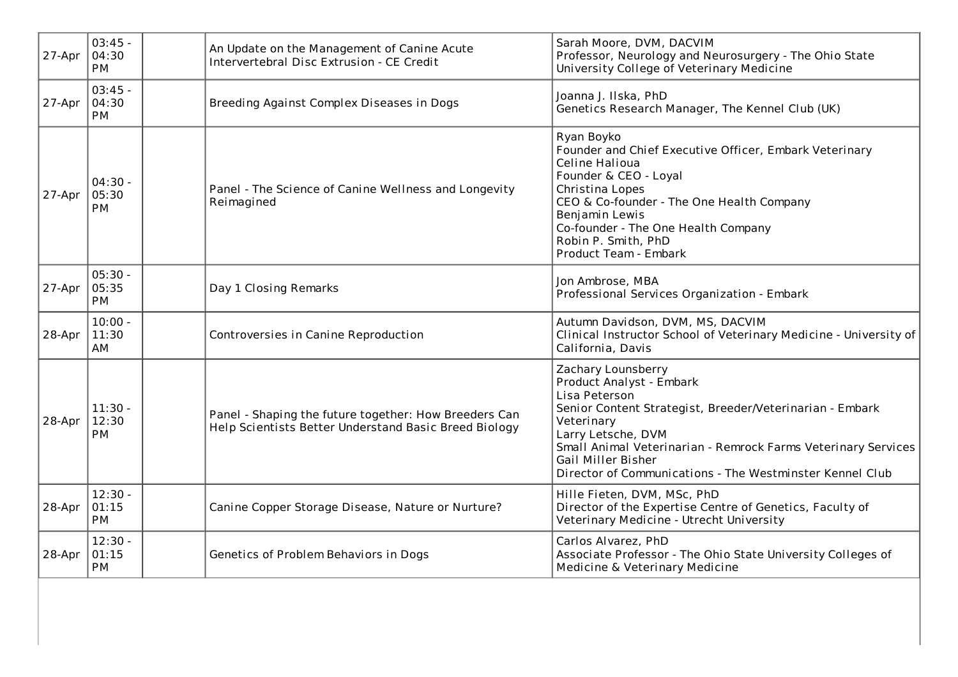| 27-Apr | $03:45 -$<br>04:30<br><b>PM</b> | An Update on the Management of Canine Acute<br>Intervertebral Disc Extrusion - CE Credit                       | Sarah Moore, DVM, DACVIM<br>Professor, Neurology and Neurosurgery - The Ohio State<br>University College of Veterinary Medicine                                                                                                                                                                                    |
|--------|---------------------------------|----------------------------------------------------------------------------------------------------------------|--------------------------------------------------------------------------------------------------------------------------------------------------------------------------------------------------------------------------------------------------------------------------------------------------------------------|
| 27-Apr | $03:45 -$<br>04:30<br><b>PM</b> | Breeding Against Complex Diseases in Dogs                                                                      | Joanna J. Ilska, PhD<br>Genetics Research Manager, The Kennel Club (UK)                                                                                                                                                                                                                                            |
| 27-Apr | $04:30 -$<br>05:30<br><b>PM</b> | Panel - The Science of Canine Wellness and Longevity<br>Reimagined                                             | Ryan Boyko<br>Founder and Chief Executive Officer, Embark Veterinary<br>Celine Halioua<br>Founder & CEO - Loyal<br>Christina Lopes<br>CEO & Co-founder - The One Health Company<br>Benjamin Lewis<br>Co-founder - The One Health Company<br>Robin P. Smith, PhD<br>Product Team - Embark                           |
| 27-Apr | $05:30 -$<br>05:35<br><b>PM</b> | Day 1 Closing Remarks                                                                                          | Jon Ambrose, MBA<br>Professional Services Organization - Embark                                                                                                                                                                                                                                                    |
| 28-Apr | $10:00 -$<br>11:30<br>AM        | Controversies in Canine Reproduction                                                                           | Autumn Davidson, DVM, MS, DACVIM<br>Clinical Instructor School of Veterinary Medicine - University of<br>California, Davis                                                                                                                                                                                         |
| 28-Apr | $11:30 -$<br>12:30<br>PM        | Panel - Shaping the future together: How Breeders Can<br>Help Scientists Better Understand Basic Breed Biology | Zachary Lounsberry<br>Product Analyst - Embark<br>Lisa Peterson<br>Senior Content Strategist, Breeder/Veterinarian - Embark<br>Veterinary<br>Larry Letsche, DVM<br>Small Animal Veterinarian - Remrock Farms Veterinary Services<br>Gail Miller Bisher<br>Director of Communications - The Westminster Kennel Club |
| 28-Apr | $12:30 -$<br>01:15<br><b>PM</b> | Canine Copper Storage Disease, Nature or Nurture?                                                              | Hille Fieten, DVM, MSc, PhD<br>Director of the Expertise Centre of Genetics, Faculty of<br>Veterinary Medicine - Utrecht University                                                                                                                                                                                |
| 28-Apr | $12:30 -$<br>01:15<br><b>PM</b> | Genetics of Problem Behaviors in Dogs                                                                          | Carlos Alvarez, PhD<br>Associate Professor - The Ohio State University Colleges of<br>Medicine & Veterinary Medicine                                                                                                                                                                                               |